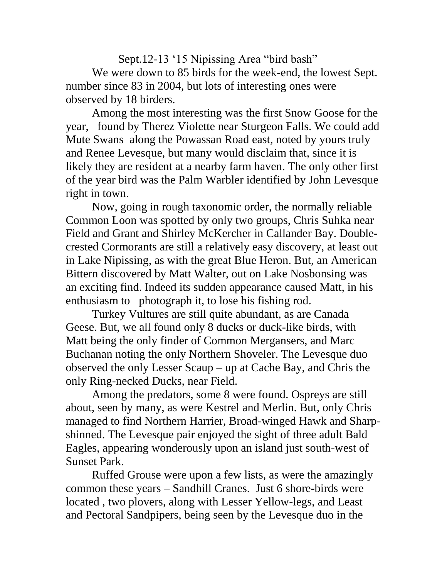Sept.12-13 '15 Nipissing Area "bird bash" We were down to 85 birds for the week-end, the lowest Sept. number since 83 in 2004, but lots of interesting ones were observed by 18 birders.

Among the most interesting was the first Snow Goose for the year, found by Therez Violette near Sturgeon Falls. We could add Mute Swans along the Powassan Road east, noted by yours truly and Renee Levesque, but many would disclaim that, since it is likely they are resident at a nearby farm haven. The only other first of the year bird was the Palm Warbler identified by John Levesque right in town.

Now, going in rough taxonomic order, the normally reliable Common Loon was spotted by only two groups, Chris Suhka near Field and Grant and Shirley McKercher in Callander Bay. Doublecrested Cormorants are still a relatively easy discovery, at least out in Lake Nipissing, as with the great Blue Heron. But, an American Bittern discovered by Matt Walter, out on Lake Nosbonsing was an exciting find. Indeed its sudden appearance caused Matt, in his enthusiasm to photograph it, to lose his fishing rod.

Turkey Vultures are still quite abundant, as are Canada Geese. But, we all found only 8 ducks or duck-like birds, with Matt being the only finder of Common Mergansers, and Marc Buchanan noting the only Northern Shoveler. The Levesque duo observed the only Lesser Scaup – up at Cache Bay, and Chris the only Ring-necked Ducks, near Field.

Among the predators, some 8 were found. Ospreys are still about, seen by many, as were Kestrel and Merlin. But, only Chris managed to find Northern Harrier, Broad-winged Hawk and Sharpshinned. The Levesque pair enjoyed the sight of three adult Bald Eagles, appearing wonderously upon an island just south-west of Sunset Park.

Ruffed Grouse were upon a few lists, as were the amazingly common these years – Sandhill Cranes. Just 6 shore-birds were located , two plovers, along with Lesser Yellow-legs, and Least and Pectoral Sandpipers, being seen by the Levesque duo in the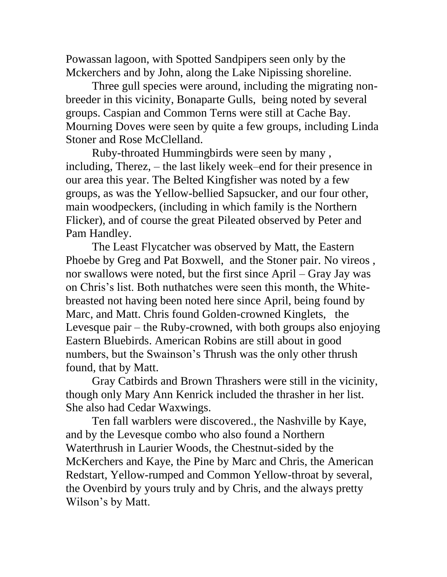Powassan lagoon, with Spotted Sandpipers seen only by the Mckerchers and by John, along the Lake Nipissing shoreline.

Three gull species were around, including the migrating nonbreeder in this vicinity, Bonaparte Gulls, being noted by several groups. Caspian and Common Terns were still at Cache Bay. Mourning Doves were seen by quite a few groups, including Linda Stoner and Rose McClelland.

Ruby-throated Hummingbirds were seen by many , including, Therez, – the last likely week–end for their presence in our area this year. The Belted Kingfisher was noted by a few groups, as was the Yellow-bellied Sapsucker, and our four other, main woodpeckers, (including in which family is the Northern Flicker), and of course the great Pileated observed by Peter and Pam Handley.

The Least Flycatcher was observed by Matt, the Eastern Phoebe by Greg and Pat Boxwell, and the Stoner pair. No vireos , nor swallows were noted, but the first since April – Gray Jay was on Chris's list. Both nuthatches were seen this month, the Whitebreasted not having been noted here since April, being found by Marc, and Matt. Chris found Golden-crowned Kinglets, the Levesque pair – the Ruby-crowned, with both groups also enjoying Eastern Bluebirds. American Robins are still about in good numbers, but the Swainson's Thrush was the only other thrush found, that by Matt.

Gray Catbirds and Brown Thrashers were still in the vicinity, though only Mary Ann Kenrick included the thrasher in her list. She also had Cedar Waxwings.

Ten fall warblers were discovered., the Nashville by Kaye, and by the Levesque combo who also found a Northern Waterthrush in Laurier Woods, the Chestnut-sided by the McKerchers and Kaye, the Pine by Marc and Chris, the American Redstart, Yellow-rumped and Common Yellow-throat by several, the Ovenbird by yours truly and by Chris, and the always pretty Wilson's by Matt.